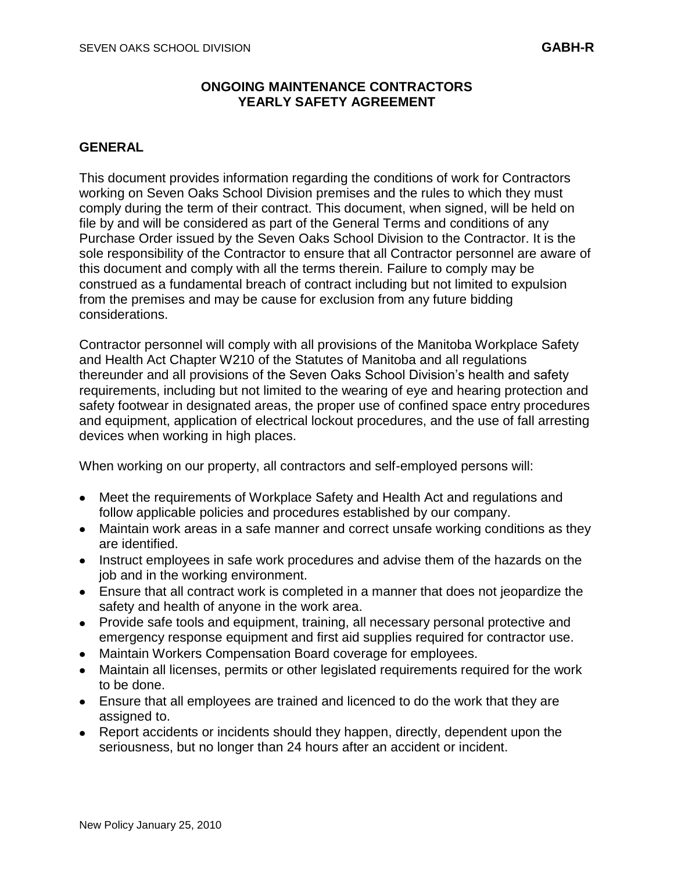## **ONGOING MAINTENANCE CONTRACTORS YEARLY SAFETY AGREEMENT**

## **GENERAL**

This document provides information regarding the conditions of work for Contractors working on Seven Oaks School Division premises and the rules to which they must comply during the term of their contract. This document, when signed, will be held on file by and will be considered as part of the General Terms and conditions of any Purchase Order issued by the Seven Oaks School Division to the Contractor. It is the sole responsibility of the Contractor to ensure that all Contractor personnel are aware of this document and comply with all the terms therein. Failure to comply may be construed as a fundamental breach of contract including but not limited to expulsion from the premises and may be cause for exclusion from any future bidding considerations.

Contractor personnel will comply with all provisions of the Manitoba Workplace Safety and Health Act Chapter W210 of the Statutes of Manitoba and all regulations thereunder and all provisions of the Seven Oaks School Division's health and safety requirements, including but not limited to the wearing of eye and hearing protection and safety footwear in designated areas, the proper use of confined space entry procedures and equipment, application of electrical lockout procedures, and the use of fall arresting devices when working in high places.

When working on our property, all contractors and self-employed persons will:

- Meet the requirements of Workplace Safety and Health Act and regulations and follow applicable policies and procedures established by our company.
- Maintain work areas in a safe manner and correct unsafe working conditions as they are identified.
- Instruct employees in safe work procedures and advise them of the hazards on the job and in the working environment.
- Ensure that all contract work is completed in a manner that does not jeopardize the safety and health of anyone in the work area.
- Provide safe tools and equipment, training, all necessary personal protective and emergency response equipment and first aid supplies required for contractor use.
- Maintain Workers Compensation Board coverage for employees.
- Maintain all licenses, permits or other legislated requirements required for the work to be done.
- Ensure that all employees are trained and licenced to do the work that they are assigned to.
- Report accidents or incidents should they happen, directly, dependent upon the seriousness, but no longer than 24 hours after an accident or incident.